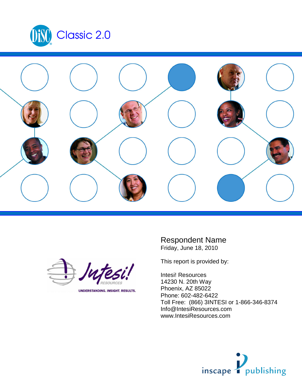





UNDERSTANDING. INSIGHT. RESULTS.

Respondent Name Friday, June 18, 2010

This report is provided by:

Intesi! Resources 14230 N. 20th Way Phoenix, AZ 85022 Phone: 602-482-6422 Toll Free: (866) 3INTESI or 1-866-346-8374 Info@IntesiResources.com www.IntesiResources.com

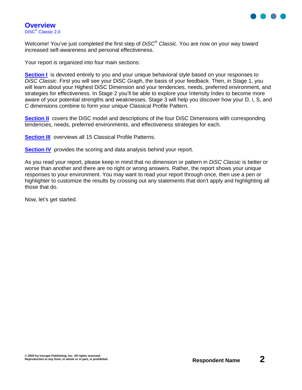

Welcome! You've just completed the first step of DiSC<sup>®</sup> Classic. You are now on your way toward increased self-awareness and personal effectiveness.

Your report is organized into four main sections:

**Section I** is devoted entirely to you and your unique behavioral style based on your responses to DiSC Classic. First you will see your DiSC Graph, the basis of your feedback. Then, in Stage 1, you will learn about your Highest DiSC Dimension and your tendencies, needs, preferred environment, and strategies for effectiveness. In Stage 2 you'll be able to explore your Intensity Index to become more aware of your potential strengths and weaknesses. Stage 3 will help you discover how your D, i, S, and C dimensions combine to form your unique Classical Profile Pattern.

**Section II** covers the DiSC model and descriptions of the four DiSC Dimensions with corresponding tendencies, needs, preferred environments, and effectiveness strategies for each.

**Section III** overviews all 15 Classical Profile Patterns.

**Section IV** provides the scoring and data analysis behind your report.

As you read your report, please keep in mind that no dimension or pattern in DISC Classic is better or worse than another and there are no right or wrong answers. Rather, the report shows your unique responses to your environment. You may want to read your report through once, then use a pen or highlighter to customize the results by crossing out any statements that don't apply and highlighting all those that do.

Now, let's get started.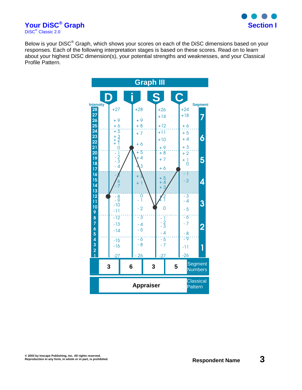

**Your DiSC® Graph Section I** DiSC<sup>®</sup> Classic 2.0

Below is your DiSC<sup>®</sup> Graph, which shows your scores on each of the DiSC dimensions based on your responses. Each of the following interpretation stages is based on these scores. Read on to learn about your highest DiSC dimension(s), your potential strengths and weaknesses, and your Classical Profile Pattern.

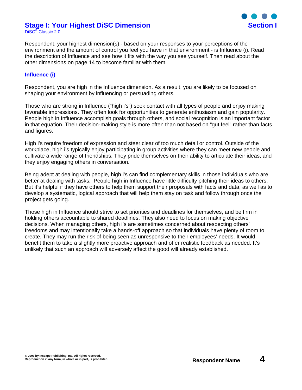#### **Stage I: Your Highest DiSC Dimension Section I** DiSC<sup>®</sup> Classic 2.0



Respondent, your highest dimension(s) - based on your responses to your perceptions of the environment and the amount of control you feel you have in that environment - is Influence (i). Read the description of Influence and see how it fits with the way you see yourself. Then read about the other dimensions on page 14 to become familiar with them.

#### **Influence (i)**

Respondent, you are high in the Influence dimension. As a result, you are likely to be focused on shaping your environment by influencing or persuading others.

Those who are strong in Influence ("high i's") seek contact with all types of people and enjoy making favorable impressions. They often look for opportunities to generate enthusiasm and gain popularity. People high in Influence accomplish goals through others, and social recognition is an important factor in that equation. Their decision-making style is more often than not based on "gut feel" rather than facts and figures.

High i's require freedom of expression and steer clear of too much detail or control. Outside of the workplace, high i's typically enjoy participating in group activities where they can meet new people and cultivate a wide range of friendships. They pride themselves on their ability to articulate their ideas, and they enjoy engaging others in conversation.

Being adept at dealing with people, high i's can find complementary skills in those individuals who are better at dealing with tasks. People high in Influence have little difficulty pitching their ideas to others. But it's helpful if they have others to help them support their proposals with facts and data, as well as to develop a systematic, logical approach that will help them stay on task and follow through once the project gets going.

Those high in Influence should strive to set priorities and deadlines for themselves, and be firm in holding others accountable to shared deadlines. They also need to focus on making objective decisions. When managing others, high i's are sometimes concerned about respecting others' freedoms and may intentionally take a hands-off approach so that individuals have plenty of room to create. They may run the risk of being seen as unresponsive to their employees' needs. It would benefit them to take a slightly more proactive approach and offer realistic feedback as needed. It's unlikely that such an approach will adversely affect the good will already established.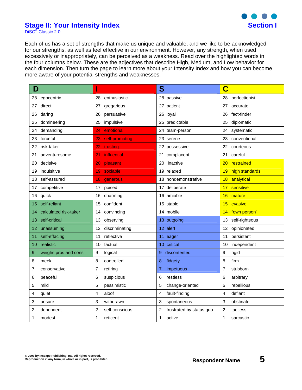

### **Stage II: Your Intensity Index Stage II: Your Intensity Index Section I**

DiSC<sup>®</sup> Classic 2.0

Each of us has a set of strengths that make us unique and valuable, and we like to be acknowledged for our strengths, as well as feel effective in our environment. However, any strength, when used excessively or inappropriately, can be perceived as a weakness. Read over the highlighted words in the four columns below. These are the adjectives that describe High, Medium, and Low behavior for each dimension. Then turn the page to learn more about your Intensity Index and how you can become more aware of your potential strengths and weaknesses.

| D                     | i<br>S               |                          | C                 |  |  |
|-----------------------|----------------------|--------------------------|-------------------|--|--|
| egocentric            | 28                   | 28 passive               | 28                |  |  |
| 28                    | enthusiastic         |                          | perfectionist     |  |  |
| 27                    | 27                   | 27 patient               | 27                |  |  |
| direct                | gregarious           |                          | accurate          |  |  |
| daring                | persuasive           | 26 loyal                 | fact-finder       |  |  |
| 26                    | 26                   |                          | 26                |  |  |
| domineering           | impulsive            | 25 predictable           | diplomatic        |  |  |
| 25                    | 25                   |                          | 25                |  |  |
| demanding             | emotional            | 24 team-person           | systematic        |  |  |
| 24                    | 24                   |                          | 24                |  |  |
| forceful              | 23                   | 23 serene                | 23                |  |  |
| 23                    | self-promoting       |                          | conventional      |  |  |
| risk-taker            | 22                   | 22 possessive            | 22                |  |  |
| 22                    | trusting             |                          | courteous         |  |  |
| 21                    | 21                   | 21 complacent            | 21                |  |  |
| adventuresome         | <b>influential</b>   |                          | careful           |  |  |
| 20                    | 20                   | 20                       | 20                |  |  |
| decisive              | pleasant             | inactive                 | restrained        |  |  |
| 19                    | sociable             | 19 relaxed               | high standards    |  |  |
| inquisitive           | 19                   |                          | 19                |  |  |
| self-assured          | 18                   | 18 nondemonstrative      | analytical        |  |  |
| 18                    | generous             |                          | 18                |  |  |
| competitive           | 17                   | 17 deliberate            | sensitive         |  |  |
| 17                    | poised               |                          | 17                |  |  |
| 16                    | 16                   | 16 amiable               | 16                |  |  |
| quick                 | charming             |                          | mature            |  |  |
| self-reliant          | confident            | 15 stable                | evasive           |  |  |
| 15                    | 15                   |                          | 15                |  |  |
| calculated risk-taker | convincing           | 14 mobile                | "own person"      |  |  |
| 14                    | 14                   |                          | 14                |  |  |
| 13<br>self-critical   | 13<br>observing      | 13 outgoing              | 13 self-righteous |  |  |
| unassuming<br>12.     | discriminating<br>12 | 12 alert                 | 12 opinionated    |  |  |
| self-effacing         | reflective           | 11 <sub>1</sub>          | persistent        |  |  |
| 11                    | 11                   | eager                    | 11                |  |  |
| realistic             | 10                   | 10 critical              | independent       |  |  |
| 10                    | factual              |                          | 10                |  |  |
| 9                     | 9                    | 9                        | 9                 |  |  |
| weighs pros and cons  | logical              | discontented             | rigid             |  |  |
| 8                     | 8                    | 8                        | 8                 |  |  |
| meek                  | controlled           | fidgety                  | firm              |  |  |
| 7                     | 7                    | impetuous                | 7                 |  |  |
| conservative          | retiring             | 7                        | stubborn          |  |  |
| 6                     | 6                    | 6                        | 6                 |  |  |
| peaceful              | suspicious           | restless                 | arbitrary         |  |  |
| 5                     | 5                    | change-oriented          | rebellious        |  |  |
| mild                  | pessimistic          | 5                        | 5                 |  |  |
| 4                     | 4                    | fault-finding            | defiant           |  |  |
| quiet                 | aloof                | 4                        | 4                 |  |  |
| 3                     | 3                    | 3                        | 3                 |  |  |
| unsure                | withdrawn            | spontaneous              | obstinate         |  |  |
| 2                     | 2                    | 2                        | 2                 |  |  |
| dependent             | self-conscious       | frustrated by status quo | tactless          |  |  |
| 1                     | 1                    | 1                        | 1                 |  |  |
| modest                | reticent             | active                   | sarcastic         |  |  |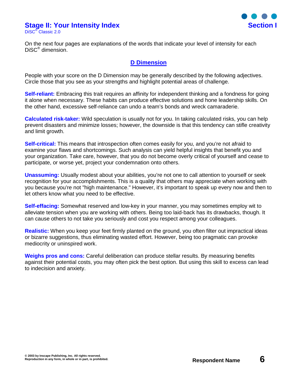# **Stage II: Your Intensity Index Section I**

DiSC® Classic 2.0



On the next four pages are explanations of the words that indicate your level of intensity for each DiSC® dimension.

### **D Dimension**

People with your score on the D Dimension may be generally described by the following adjectives. Circle those that you see as your strengths and highlight potential areas of challenge.

**Self-reliant:** Embracing this trait requires an affinity for independent thinking and a fondness for going it alone when necessary. These habits can produce effective solutions and hone leadership skills. On the other hand, excessive self-reliance can undo a team's bonds and wreck camaraderie.

**Calculated risk-taker:** Wild speculation is usually not for you. In taking calculated risks, you can help prevent disasters and minimize losses; however, the downside is that this tendency can stifle creativity and limit growth.

**Self-critical:** This means that introspection often comes easily for you, and you're not afraid to examine your flaws and shortcomings. Such analysis can yield helpful insights that benefit you and your organization. Take care, however, that you do not become overly critical of yourself and cease to participate, or worse yet, project your condemnation onto others.

**Unassuming:** Usually modest about your abilities, you're not one to call attention to yourself or seek recognition for your accomplishments. This is a quality that others may appreciate when working with you because you're not "high maintenance." However, it's important to speak up every now and then to let others know what you need to be effective.

**Self-effacing:** Somewhat reserved and low-key in your manner, you may sometimes employ wit to alleviate tension when you are working with others. Being too laid-back has its drawbacks, though. It can cause others to not take you seriously and cost you respect among your colleagues.

**Realistic:** When you keep your feet firmly planted on the ground, you often filter out impractical ideas or bizarre suggestions, thus eliminating wasted effort. However, being too pragmatic can provoke mediocrity or uninspired work.

**Weighs pros and cons:** Careful deliberation can produce stellar results. By measuring benefits against their potential costs, you may often pick the best option. But using this skill to excess can lead to indecision and anxiety.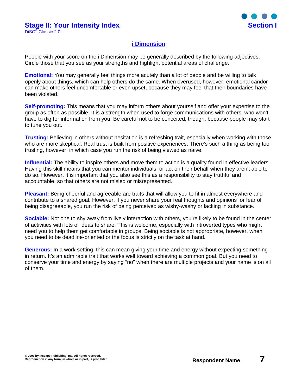

### **i Dimension**

People with your score on the i Dimension may be generally described by the following adjectives. Circle those that you see as your strengths and highlight potential areas of challenge.

**Emotional:** You may generally feel things more acutely than a lot of people and be willing to talk openly about things, which can help others do the same. When overused, however, emotional candor can make others feel uncomfortable or even upset, because they may feel that their boundaries have been violated.

**Self-promoting:** This means that you may inform others about yourself and offer your expertise to the group as often as possible. It is a strength when used to forge communications with others, who won't have to dig for information from you. Be careful not to be conceited, though, because people may start to tune you out.

**Trusting:** Believing in others without hesitation is a refreshing trait, especially when working with those who are more skeptical. Real trust is built from positive experiences. There's such a thing as being too trusting, however, in which case you run the risk of being viewed as naive.

**Influential:** The ability to inspire others and move them to action is a quality found in effective leaders. Having this skill means that you can mentor individuals, or act on their behalf when they aren't able to do so. However, it is important that you also see this as a responsibility to stay truthful and accountable, so that others are not misled or misrepresented.

**Pleasant:** Being cheerful and agreeable are traits that will allow you to fit in almost everywhere and contribute to a shared goal. However, if you never share your real thoughts and opinions for fear of being disagreeable, you run the risk of being perceived as wishy-washy or lacking in substance.

**Sociable:** Not one to shy away from lively interaction with others, you're likely to be found in the center of activities with lots of ideas to share. This is welcome, especially with introverted types who might need you to help them get comfortable in groups. Being sociable is not appropriate, however, when you need to be deadline-oriented or the focus is strictly on the task at hand.

**Generous:** In a work setting, this can mean giving your time and energy without expecting something in return. It's an admirable trait that works well toward achieving a common goal. But you need to conserve your time and energy by saying "no" when there are multiple projects and your name is on all of them.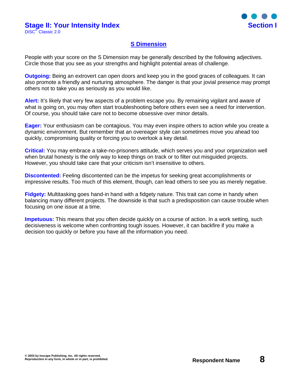

### **S Dimension**

People with your score on the S Dimension may be generally described by the following adjectives. Circle those that you see as your strengths and highlight potential areas of challenge.

**Outgoing:** Being an extrovert can open doors and keep you in the good graces of colleagues. It can also promote a friendly and nurturing atmosphere. The danger is that your jovial presence may prompt others not to take you as seriously as you would like.

**Alert:** It's likely that very few aspects of a problem escape you. By remaining vigilant and aware of what is going on, you may often start troubleshooting before others even see a need for intervention. Of course, you should take care not to become obsessive over minor details.

**Eager:** Your enthusiasm can be contagious. You may even inspire others to action while you create a dynamic environment. But remember that an overeager style can sometimes move you ahead too quickly, compromising quality or forcing you to overlook a key detail.

**Critical:** You may embrace a take-no-prisoners attitude, which serves you and your organization well when brutal honesty is the only way to keep things on track or to filter out misguided projects. However, you should take care that your criticism isn't insensitive to others.

**Discontented:** Feeling discontented can be the impetus for seeking great accomplishments or impressive results. Too much of this element, though, can lead others to see you as merely negative.

**Fidgety:** Multitasking goes hand-in hand with a fidgety nature. This trait can come in handy when balancing many different projects. The downside is that such a predisposition can cause trouble when focusing on one issue at a time.

**Impetuous:** This means that you often decide quickly on a course of action. In a work setting, such decisiveness is welcome when confronting tough issues. However, it can backfire if you make a decision too quickly or before you have all the information you need.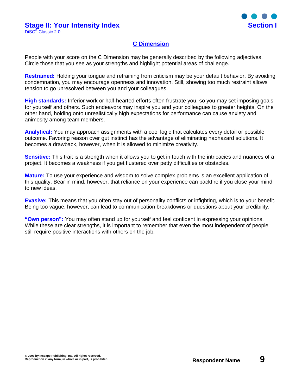

### **C Dimension**

People with your score on the C Dimension may be generally described by the following adjectives. Circle those that you see as your strengths and highlight potential areas of challenge.

**Restrained:** Holding your tongue and refraining from criticism may be your default behavior. By avoiding condemnation, you may encourage openness and innovation. Still, showing too much restraint allows tension to go unresolved between you and your colleagues.

**High standards:** Inferior work or half-hearted efforts often frustrate you, so you may set imposing goals for yourself and others. Such endeavors may inspire you and your colleagues to greater heights. On the other hand, holding onto unrealistically high expectations for performance can cause anxiety and animosity among team members.

**Analytical:** You may approach assignments with a cool logic that calculates every detail or possible outcome. Favoring reason over gut instinct has the advantage of eliminating haphazard solutions. It becomes a drawback, however, when it is allowed to minimize creativity.

**Sensitive:** This trait is a strength when it allows you to get in touch with the intricacies and nuances of a project. It becomes a weakness if you get flustered over petty difficulties or obstacles.

**Mature:** To use your experience and wisdom to solve complex problems is an excellent application of this quality. Bear in mind, however, that reliance on your experience can backfire if you close your mind to new ideas.

**Evasive:** This means that you often stay out of personality conflicts or infighting, which is to your benefit. Being too vague, however, can lead to communication breakdowns or questions about your credibility.

**"Own person":** You may often stand up for yourself and feel confident in expressing your opinions. While these are clear strengths, it is important to remember that even the most independent of people still require positive interactions with others on the job.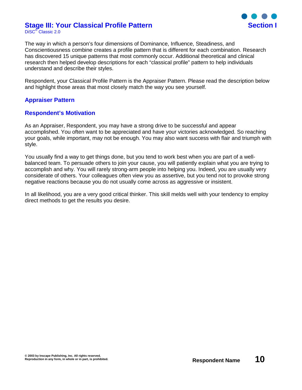#### **Stage III: Your Classical Profile Pattern Section I** DiSC® Classic 2.0



The way in which a person's four dimensions of Dominance, Influence, Steadiness, and Conscientiousness combine creates a profile pattern that is different for each combination. Research has discovered 15 unique patterns that most commonly occur. Additional theoretical and clinical research then helped develop descriptions for each "classical profile" pattern to help individuals understand and describe their styles.

Respondent, your Classical Profile Pattern is the Appraiser Pattern. Please read the description below and highlight those areas that most closely match the way you see yourself.

### **Appraiser Pattern**

### **Respondent's Motivation**

As an Appraiser, Respondent, you may have a strong drive to be successful and appear accomplished. You often want to be appreciated and have your victories acknowledged. So reaching your goals, while important, may not be enough. You may also want success with flair and triumph with style.

You usually find a way to get things done, but you tend to work best when you are part of a wellbalanced team. To persuade others to join your cause, you will patiently explain what you are trying to accomplish and why. You will rarely strong-arm people into helping you. Indeed, you are usually very considerate of others. Your colleagues often view you as assertive, but you tend not to provoke strong negative reactions because you do not usually come across as aggressive or insistent.

In all likelihood, you are a very good critical thinker. This skill melds well with your tendency to employ direct methods to get the results you desire.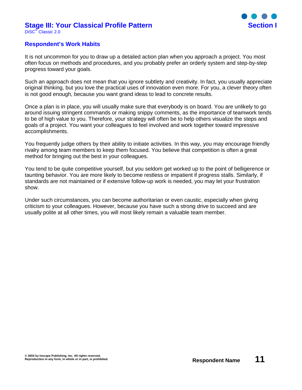#### **Stage III: Your Classical Profile Pattern Section I** DiSC® Classic 2.0



### **Respondent's Work Habits**

It is not uncommon for you to draw up a detailed action plan when you approach a project. You most often focus on methods and procedures, and you probably prefer an orderly system and step-by-step progress toward your goals.

Such an approach does not mean that you ignore subtlety and creativity. In fact, you usually appreciate original thinking, but you love the practical uses of innovation even more. For you, a clever theory often is not good enough, because you want grand ideas to lead to concrete results.

Once a plan is in place, you will usually make sure that everybody is on board. You are unlikely to go around issuing stringent commands or making snippy comments, as the importance of teamwork tends to be of high value to you. Therefore, your strategy will often be to help others visualize the steps and goals of a project. You want your colleagues to feel involved and work together toward impressive accomplishments.

You frequently judge others by their ability to initiate activities. In this way, you may encourage friendly rivalry among team members to keep them focused. You believe that competition is often a great method for bringing out the best in your colleagues.

You tend to be quite competitive yourself, but you seldom get worked up to the point of belligerence or taunting behavior. You are more likely to become restless or impatient if progress stalls. Similarly, if standards are not maintained or if extensive follow-up work is needed, you may let your frustration show.

Under such circumstances, you can become authoritarian or even caustic, especially when giving criticism to your colleagues. However, because you have such a strong drive to succeed and are usually polite at all other times, you will most likely remain a valuable team member.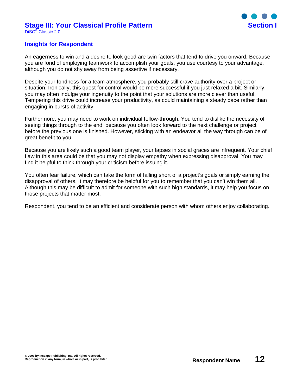#### **Stage III: Your Classical Profile Pattern Section I** DiSC® Classic 2.0



### **Insights for Respondent**

An eagerness to win and a desire to look good are twin factors that tend to drive you onward. Because you are fond of employing teamwork to accomplish your goals, you use courtesy to your advantage, although you do not shy away from being assertive if necessary.

Despite your fondness for a team atmosphere, you probably still crave authority over a project or situation. Ironically, this quest for control would be more successful if you just relaxed a bit. Similarly, you may often indulge your ingenuity to the point that your solutions are more clever than useful. Tempering this drive could increase your productivity, as could maintaining a steady pace rather than engaging in bursts of activity.

Furthermore, you may need to work on individual follow-through. You tend to dislike the necessity of seeing things through to the end, because you often look forward to the next challenge or project before the previous one is finished. However, sticking with an endeavor all the way through can be of great benefit to you.

Because you are likely such a good team player, your lapses in social graces are infrequent. Your chief flaw in this area could be that you may not display empathy when expressing disapproval. You may find it helpful to think through your criticism before issuing it.

You often fear failure, which can take the form of falling short of a project's goals or simply earning the disapproval of others. It may therefore be helpful for you to remember that you can't win them all. Although this may be difficult to admit for someone with such high standards, it may help you focus on those projects that matter most.

Respondent, you tend to be an efficient and considerate person with whom others enjoy collaborating.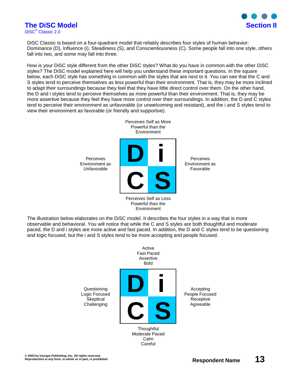

# **The DiSC Model Section II**

DiSC® Classic 2.0

DiSC Classic is based on a four-quadrant model that reliably describes four styles of human behavior: Dominance (D), Influence (i), Steadiness (S), and Conscientiousness (C). Some people fall into one style, others fall into two, and some may fall into three.

How is your DiSC style different from the other DiSC styles? What do you have in common with the other DiSC styles? The DiSC model explained here will help you understand these important questions. In the square below, each DiSC style has something in common with the styles that are next to it. You can see that the C and S styles tend to perceive themselves as less powerful than their environment. That is, they may be more inclined to adapt their surroundings because they feel that they have little direct control over them. On the other hand, the D and i styles tend to perceive themselves as more powerful than their environment. That is, they may be more assertive because they feel they have more control over their surroundings. In addition, the D and C styles tend to perceive their environment as unfavorable (or unwelcoming and resistant), and the i and S styles tend to view their environment as favorable (or friendly and supportive).



Powerful than the Environment

The illustration below elaborates on the DiSC model. It describes the four styles in a way that is more observable and behavioral. You will notice that while the C and S styles are both thoughtful and moderate paced, the D and i styles are more active and fast paced. In addition, the D and C styles tend to be questioning and logic focused, but the i and S styles tend to be more accepting and people focused.

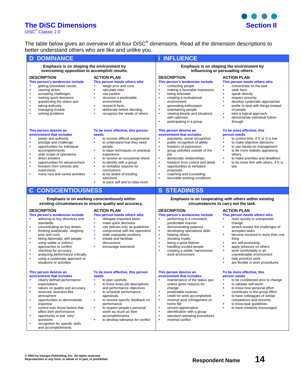## **The DiSC Dimensions Section II**

DiSC<sup>®</sup> Classic 2.0

The table below gives an overview of all four DiSC® dimensions. Read all the dimension descriptions to better understand others who are like and unlike you.

| <b>DOMINANCE</b><br>D                                                                                                                                                                                                                                                                                                                                                                                                                              |                                                                                                                                                                                                                                                                                                                                                                                                              | <b>INFLUENCE</b>                                                                                                                                                                                                                                                                                                                                                                                                   |                                                                                                                                                                                                                                                                                                                                                                                                               |  |  |
|----------------------------------------------------------------------------------------------------------------------------------------------------------------------------------------------------------------------------------------------------------------------------------------------------------------------------------------------------------------------------------------------------------------------------------------------------|--------------------------------------------------------------------------------------------------------------------------------------------------------------------------------------------------------------------------------------------------------------------------------------------------------------------------------------------------------------------------------------------------------------|--------------------------------------------------------------------------------------------------------------------------------------------------------------------------------------------------------------------------------------------------------------------------------------------------------------------------------------------------------------------------------------------------------------------|---------------------------------------------------------------------------------------------------------------------------------------------------------------------------------------------------------------------------------------------------------------------------------------------------------------------------------------------------------------------------------------------------------------|--|--|
| Emphasis is on shaping the environment by<br>overcoming opposition to accomplish results.                                                                                                                                                                                                                                                                                                                                                          |                                                                                                                                                                                                                                                                                                                                                                                                              | Emphasis is on shaping the environment by<br>influencing or persuading others.                                                                                                                                                                                                                                                                                                                                     |                                                                                                                                                                                                                                                                                                                                                                                                               |  |  |
| <b>DESCRIPTION</b><br>This person's tendencies include<br>getting immediate results<br>causing action<br>×<br>×<br>accepting challenges<br>making quick decisions<br>×<br>×<br>questioning the status quo<br>taking authority<br>×<br>managing trouble<br>×<br>solving problems                                                                                                                                                                    | <b>ACTION PLAN</b><br>This person needs others who<br>weigh pros and cons<br>à,<br>calculate risks<br>à,<br>à,<br>use caution<br>à,<br>structure a predictable<br>environment<br>research facts<br>×,<br>٠<br>deliberate before deciding<br>recognize the needs of others<br>×,                                                                                                                              | <b>DESCRIPTION</b><br>This person's tendencies include<br>contacting people<br>٠<br>à,<br>making a favorable impression<br>à,<br>being articulate<br>à,<br>creating a motivational<br>environment<br>generating enthusiasm<br>×,<br>٠<br>entertaining people<br>ä<br>viewing people and situations<br>with optimism<br>٠<br>participating in a group                                                               | <b>ACTION PLAN</b><br>This person needs others who<br>concentrate on the task<br>٠<br>seek facts<br>ä,<br>speak directly<br>à,<br>respect sincerity<br>ä,<br>develop systematic approaches<br>prefer to deal with things instead<br>à,<br>of people<br>à,<br>take a logical approach<br>×.<br>demonstrate individual follow-<br>through                                                                       |  |  |
| This person desires an<br>environment that includes<br>٠<br>power and authority<br>×<br>prestige and challenge<br>opportunities for individual<br>٠<br>accomplishments<br>×<br>wide scope of operations<br>٠<br>direct answers<br>opportunities for advancement<br>×<br>freedom from controls and<br>supervision<br>many new and varied activities                                                                                                 | To be more effective, this person<br>needs<br>à,<br>to receive difficult assignments<br>to understand that they need<br>à,<br>people<br>to base techniques on practical<br>×,<br>experience<br>to receive an occasional shock<br>×,<br>à,<br>to identify with a group<br>to verbalize reasons for<br>à,<br>conclusions<br>to be aware of existing<br>×,<br>sanctions<br>to pace self and to relax more<br>×, | This person desires an<br>environment that includes<br>à,<br>popularity, social recognition<br>i.<br>public recognition of ability<br>à,<br>freedom of expression<br>×<br>group activities outside of the<br>job<br>à,<br>democratic relationships<br>ä<br>freedom from control and detail<br>à,<br>opportunities to verbalize<br>proposals<br>coaching and counseling<br>×,<br>ä,<br>favorable working conditions | To be more effective, this<br>person needs<br>to control time, if D or S is low<br>à,<br>to make objective decisions<br>to use hands-on management<br>٠<br>٠<br>to be more realistic appraising<br>others<br>٠<br>to make priorities and deadlines<br>to be more firm with others, if D is<br>à,<br>low                                                                                                       |  |  |
| <b>CONSCIENTIOUSNESS</b><br>$\mathbf{C}$                                                                                                                                                                                                                                                                                                                                                                                                           |                                                                                                                                                                                                                                                                                                                                                                                                              | <b>STEADINESS</b><br><sub>S</sub>                                                                                                                                                                                                                                                                                                                                                                                  |                                                                                                                                                                                                                                                                                                                                                                                                               |  |  |
| Emphasis is on working conscientiously within<br>existing circumstances to ensure quality and accuracy.                                                                                                                                                                                                                                                                                                                                            |                                                                                                                                                                                                                                                                                                                                                                                                              | Emphasis is on cooperating with others within existing<br>circumstances to carry out the task.                                                                                                                                                                                                                                                                                                                     |                                                                                                                                                                                                                                                                                                                                                                                                               |  |  |
| <b>DESCRIPTION</b><br>This person's tendencies include<br>adhering to key directives and<br>٠<br>standards<br>concentrating on key details<br>×<br>thinking analytically, weighing<br>٠<br>pros and cons<br>being diplomatic with people<br>٠<br>using subtle or indirect<br>٠<br>approaches to conflict<br>checking for accuracy<br>٠<br>×<br>analyzing performance critically<br>using a systematic approach to<br>×<br>situations or activities | <b>ACTION PLAN</b><br>This person needs others who<br>delegate important tasks<br>٠<br>ä,<br>make quick decisions<br>use policies only as guidelines<br>à,<br>ä,<br>compromise with the opposition<br>ä<br>state unpopular positions<br>initiate and facilitate<br>à,<br>discussions<br>×,<br>encourage teamwork                                                                                             | <b>DESCRIPTION</b><br>This person's tendencies include<br>performing in a consistent,<br>×,<br>predictable manner<br>٠<br>demonstrating patience<br>×<br>developing specialized skills<br>ä<br>helping others<br>showing loyalty<br>٠<br>à,<br>being a good listener<br>ä<br>handling excited people<br>×<br>creating a stable, harmonious<br>work environment                                                     | <b>ACTION PLAN</b><br>This person needs others who<br>react quickly to unexpected<br>٠<br>change<br>stretch toward the challenges of<br>٠<br>accepted tasks<br>become involved in more than one<br>×,<br>thing<br>are self-promoting<br>×,<br>à,<br>apply pressure on others<br>work comfortably in an<br>٠<br>unpredictable environment<br>٠<br>help prioritize work<br>×<br>are flexible in work procedures |  |  |
| This person desires an<br>environment that includes<br>clearly defined performance<br>٠<br>expectations<br>values on quality and accuracy<br>×<br>reserved, business-like<br>٠<br>atmosphere<br>opportunities to demonstrate<br>×<br>expertise<br>control over those factors that<br>×<br>affect their performance<br>opportunity to ask "why"<br>٠<br>questions                                                                                   | To be more effective, this person<br>needs<br>×,<br>to plan carefully<br>à,<br>to know exact job descriptions<br>and performance objectives<br>à,<br>to schedule performance<br>appraisals<br>to receive specific feedback on<br>×,<br>performance<br>to respect people's personal<br>٠<br>worth as much as their<br>accomplishments<br>to develop tolerance for conflict<br>×,                              | This person desires an<br>environment that includes<br>maintenance of the status quo<br>٠<br>unless given reasons for<br>change<br>à,<br>predictable routines<br>à,<br>credit for work accomplished<br>ä,<br>minimal work infringement on<br>home life<br>à,<br>sincere appreciation<br>à,<br>identification with a group<br>٠<br>standard operating procedures<br>à,<br>minimal conflict                          | To be more effective, this<br>person needs<br>to be conditioned prior to change<br>à,<br>to validate self-worth<br>to know how personal effort<br>×,<br>contributes to the group effort<br>to have colleagues of similar<br>٠<br>competence and sincerity<br>to know task quidelines<br>٠<br>ä,<br>to have creativity encouraged                                                                              |  |  |

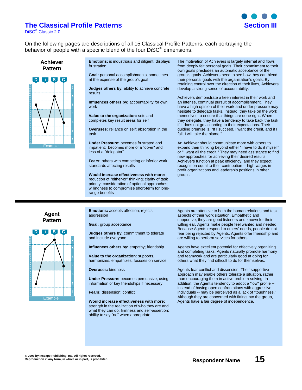### **The Classical Profile Patterns is a section of the Classical Profile Patterns**

DiSC® Classic 2.0



On the following pages are descriptions of all 15 Classical Profile Patterns, each portraying the behavior of people with a specific blend of the four DiSC<sup>®</sup> dimensions.

**Achiever Pattern**



**Emotions:** is industrious and diligent; displays frustration

**Goal:** personal accomplishments, sometimes at the expense of the group's goal

**Judges others by:** ability to achieve concrete results

**Influences others by:** accountability for own work

**Value to the organization:** sets and completes key result areas for self

**Overuses:** reliance on self; absorption in the task

**Under Pressure:** becomes frustrated and impatient; becomes more of a "do-er" and less of a "delegator"

**Fears:** others with competing or inferior work standards affecting results

**Would increase effectiveness with more:** reduction of "either-or" thinking; clarity of task priority; consideration of optional approaches; willingness to compromise short-term for longrange benefits

The motivation of Achievers is largely internal and flows from deeply felt personal goals. Their commitment to their own goals precludes an automatic acceptance of the group's goals. Achievers need to see how they can blend their personal goals with the organization's goals. By retaining control over the direction of their lives, Achievers develop a strong sense of accountability.

Achievers demonstrate a keen interest in their work and an intense, continual pursuit of accomplishment. They have a high opinion of their work and under pressure may hesitate to delegate tasks. Instead, they take on the work themselves to ensure that things are done right. When they delegate, they have a tendency to take back the task if it does not go according to their expectations. Their guiding premise is, "If I succeed, I want the credit, and if I fail, I will take the blame."

An Achiever should communicate more with others to expand their thinking beyond either "I have to do it myself" or "I want all the credit." They may need assistance to find new approaches for achieving their desired results. Achievers function at peak efficiency, and they expect recognition equal to their contribution -- high wages in profit organizations and leadership positions in other groups.

**Agent Pattern**



**Emotions:** accepts affection; rejects aggression

**Goal:** group acceptance

**Judges others by:** commitment to tolerate and include everyone

**Influences others by:** empathy; friendship

**Value to the organization:** supports, harmonizes, empathizes; focuses on service

**Overuses:** kindness

**Under Pressure:** becomes persuasive, using information or key friendships if necessary

**Fears:** dissension; conflict

**Would increase effectiveness with more:** strength in the realization of who they are and what they can do; firmness and self-assertion; ability to say "no" when appropriate

Agents are attentive to both the human relations and task aspects of their work situation. Empathetic and supportive, they are good listeners and known for their willing ear. Agents make people feel wanted and needed. Because Agents respond to others' needs, people do not fear being rejected by Agents. Agents offer friendship and are willing to perform services for others.

Agents have excellent potential for effectively organizing and completing tasks. Agents naturally promote harmony and teamwork and are particularly good at doing for others what they find difficult to do for themselves.

Agents fear conflict and dissension. Their supportive approach may enable others tolerate a situation, rather than encouraging them in active problem-solving. In addition, the Agent's tendency to adopt a "low" profile - instead of having open confrontations with aggressive individuals -- may be perceived as a lack of "toughness." Although they are concerned with fitting into the group, Agents have a fair degree of independence.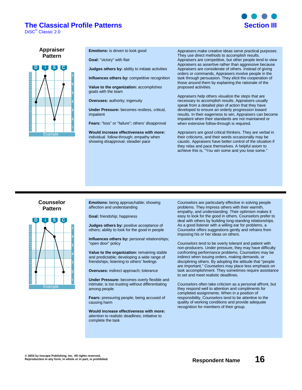### **The Classical Profile Patterns is a section of the Classical Profile Patterns**

DiSC® Classic 2.0



**Appraiser Pattern**



**Emotions:** is driven to look good

**Goal:** "victory" with flair

**Judges others by:** ability to initiate activities

**Influences others by: competitive recognition** 

**Value to the organization:** accomplishes goals with the team

**Overuses:** authority; ingenuity

**Under Pressure:** becomes restless, critical, impatient

**Fears:** "loss" or "failure"; others' disapproval

**Would increase effectiveness with more:** individual follow-through; empathy when showing disapproval; steadier pace

Appraisers make creative ideas serve practical purposes. They use direct methods to accomplish results. Appraisers are competitive, but other people tend to view Appraisers as assertive rather than aggressive because Appraisers are considerate of others. Instead of giving orders or commands, Appraisers involve people in the task through persuasion. They elicit the cooperation of those around them by explaining the rationale of the proposed activities.

Appraisers help others visualize the steps that are necessary to accomplish results. Appraisers usually speak from a detailed plan of action that they have developed to ensure an orderly progression toward results. In their eagerness to win, Appraisers can become impatient when their standards are not maintained or when extensive follow-through is required.

Appraisers are good critical thinkers. They are verbal in their criticisms, and their words occasionally may be caustic. Appraisers have better control of the situation if they relax and pace themselves. A helpful axiom to achieve this is, "You win some and you lose some."

#### **Counselor Pattern**



**Emotions:** being approachable; showing affection and understanding

**Goal:** friendship; happiness

**Judges others by:** positive acceptance of others; ability to look for the good in people

**Influences others by:** personal relationships; "open door" policy

**Value to the organization:** remaining stable and predictable; developing a wide range of friendships; listening to others' feelings

**Overuses:** indirect approach; tolerance

**Under Pressure:** becomes overly flexible and intimate; is too trusting without differentiating among people

**Fears:** pressuring people; being accused of causing harm

**Would increase effectiveness with more:** attention to realistic deadlines; initiative to complete the task

Counselors are particularly effective in solving people problems. They impress others with their warmth, empathy, and understanding. Their optimism makes it easy to look for the good in others. Counselors prefer to deal with others by building long-standing relationships. As a good listener with a willing ear for problems, a Counselor offers suggestions gently and refrains from imposing his or her ideas on others.

Counselors tend to be overly tolerant and patient with non-producers. Under pressure, they may have difficulty confronting performance problems. Counselors may be indirect when issuing orders, making demands, or disciplining others. By adopting the attitude that "people are important," Counselors may place less emphasis on task accomplishment. They sometimes require assistance to set and meet realistic deadlines.

Counselors often take criticism as a personal affront, but they respond well to attention and compliments for completed assignments. When in a position of responsibility, Counselors tend to be attentive to the quality of working conditions and provide adequate recognition for members of their group.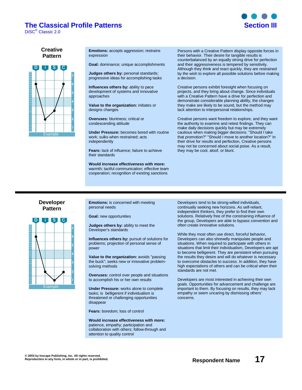### **The Classical Profile Patterns <b>Section III**

DiSC® Classic 2.0



#### **Creative Pattern**



**Emotions:** accepts aggression; restrains expression

**Goal:** dominance; unique accomplishments

**Judges others by:** personal standards; progressive ideas for accomplishing tasks

**Influences others by:** ability to pace development of systems and innovative approaches

**Value to the organization:** initiates or designs changes

**Overuses:** bluntness; critical or condescending attitude

**Under Pressure:** becomes bored with routine work; sulks when restrained; acts independently

**Fears:** lack of influence; failure to achieve their standards

**Would increase effectiveness with more:** warmth; tactful communication; effective team cooperation; recognition of existing sanctions

Persons with a Creative Pattern display opposite forces in their behavior. Their desire for tangible results is counterbalanced by an equally strong drive for perfection and their aggressiveness is tempered by sensitivity. Although they think and react quickly, they are restrained by the wish to explore all possible solutions before making a decision.

Creative persons exhibit foresight when focusing on projects, and they bring about change. Since individuals with a Creative Pattern have a drive for perfection and demonstrate considerable planning ability, the changes they make are likely to be sound, but the method may lack attention to interpersonal relationships.

Creative persons want freedom to explore, and they want the authority to examine and retest findings. They can make daily decisions quickly but may be extremely cautious when making bigger decisions: "Should I take that promotion?" "Should I move to another location?" In their drive for results and perfection, Creative persons may not be concerned about social poise. As a result, they may be cool, aloof, or blunt.

#### **Developer Pattern**



**Emotions:** is concerned with meeting personal needs

**Goal:** new opportunities

**Judges others by:** ability to meet the Developer's standards

**Influences others by:** pursuit of solutions for problems; projection of personal sense of power

**Value to the organization:** avoids "passing the buck"; seeks new or innovative problemsolving methods

**Overuses:** control over people and situations to accomplish his or her own results

**Under Pressure:** works alone to complete tasks; is belligerent if individualism is threatened or challenging opportunities disappear

**Fears:** boredom; loss of control

**Would increase effectiveness with more:** patience, empathy; participation and collaboration with others; follow-through and attention to quality control

Developers tend to be strong-willed individuals, continually seeking new horizons. As self-reliant, independent thinkers, they prefer to find their own solutions. Relatively free of the constraining influence of the group, Developers are able to bypass convention and often create innovative solutions.

While they most often use direct, forceful behavior, Developers can also shrewdly manipulate people and situations. When required to participate with others in situations that limit their individualism, Developers are apt to become belligerent. They are persistent when pursuing the results they desire and will do whatever is necessary to overcome obstacles to success. In addition, they have high expectations of others and can be critical when their standards are not met.

Developers are most interested in achieving their own goals. Opportunities for advancement and challenge are important to them. By focusing on results, they may lack empathy or seem uncaring by dismissing others' concerns.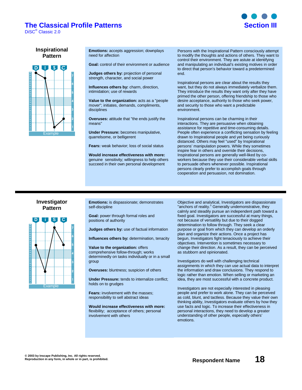### **The Classical Profile Patterns <b>Section III**

DiSC® Classic 2.0



#### **Inspirational Pattern**



**Emotions:** accepts aggression; downplays need for affection

**Goal:** control of their environment or audience

**Judges others by:** projection of personal

strength, character, and social power **Influences others by:** charm, direction,

intimidation; use of rewards

**Value to the organization:** acts as a "people mover"; initiates, demands, compliments, disciplines

**Overuses:** attitude that "the ends justify the means"

**Under Pressure:** becomes manipulative, quarrelsome, or belligerent

**Fears:** weak behavior; loss of social status

**Would increase effectiveness with more:** genuine sensitivity; willingness to help others succeed in their own personal development

Persons with the Inspirational Pattern consciously attempt to modify the thoughts and actions of others. They want to control their environment. They are astute at identifying and manipulating an individual's existing motives in order to direct that person's behavior toward a predetermined end.

Inspirational persons are clear about the results they want, but they do not always immediately verbalize them. They introduce the results they want only after they have primed the other person, offering friendship to those who desire acceptance, authority to those who seek power, and security to those who want a predictable environment.

Inspirational persons can be charming in their interactions. They are persuasive when obtaining assistance for repetitive and time-consuming details. People often experience a conflicting sensation by feeling drawn to Inspirational people and yet being curiously distanced. Others may feel "used" by Inspirational persons' manipulation powers. While they sometimes inspire fear in others and override their decisions, Inspirational persons are generally well-liked by coworkers because they use their considerable verbal skills to persuade others whenever possible. Inspirational persons clearly prefer to accomplish goals through cooperation and persuasion, not domination.

#### **Investigator Pattern**



**Emotions:** is dispassionate; demonstrates self-discipline

**Goal:** power through formal roles and positions of authority

**Judges others by:** use of factual information

**Influences others by:** determination, tenacity

**Value to the organization:** offers comprehensive follow-through; works determinedly on tasks individually or in a small group

**Overuses:** bluntness; suspicion of others

**Under Pressure:** tends to internalize conflict; holds on to grudges

**Fears:** involvement with the masses; responsibility to sell abstract ideas

**Would increase effectiveness with more:** flexibility; acceptance of others; personal involvement with others

Objective and analytical, Investigators are dispassionate "anchors of reality." Generally undemonstrative, they calmly and steadily pursue an independent path toward a fixed goal. Investigators are successful at many things, not because of versatility but due to their dogged determination to follow through. They seek a clear purpose or goal from which they can develop an orderly plan and organize their actions. Once a project has begun, Investigators fight tenaciously to achieve their objectives. Intervention is sometimes necessary to change their direction. As a result, they can be perceived as stubborn and opinionated.

Investigators do well with challenging technical assignments in which they can use actual data to interpret the information and draw conclusions. They respond to logic rather than emotion. When selling or marketing an idea, they are most successful with a concrete product.

Investigators are not especially interested in pleasing people and prefer to work alone. They can be perceived as cold, blunt, and tactless. Because they value their own thinking ability, Investigators evaluate others by how they use facts and logic. To increase their effectiveness in personal interactions, they need to develop a greater understanding of other people, especially others' emotions.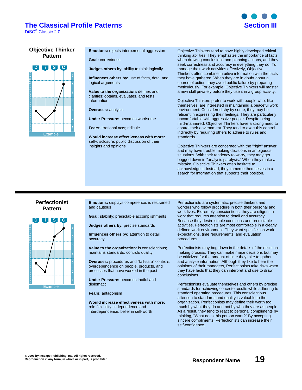### **The Classical Profile Patterns is a section of the Classical Profile Patterns**

DiSC® Classic 2.0



#### **Objective Thinker Pattern**



**Emotions:** rejects interpersonal aggression

**Goal:** correctness

**Judges others by:** ability to think logically

**Influences others by:** use of facts, data, and logical arguments

**Value to the organization:** defines and clarifies; obtains, evaluates, and tests information

**Overuses:** analysis

**Under Pressure:** becomes worrisome

**Fears:** irrational acts; ridicule

**Would increase effectiveness with more:** self-disclosure; public discussion of their insights and opinions

Objective Thinkers tend to have highly developed critical thinking abilities. They emphasize the importance of facts when drawing conclusions and planning actions, and they seek correctness and accuracy in everything they do. To manage their work activities effectively, Objective Thinkers often combine intuitive information with the facts they have gathered. When they are in doubt about a course of action, they avoid public failure by preparing meticulously. For example, Objective Thinkers will master a new skill privately before they use it in a group activity.

Objective Thinkers prefer to work with people who, like themselves, are interested in maintaining a peaceful work environment. Considered shy by some, they may be reticent in expressing their feelings. They are particularly uncomfortable with aggressive people. Despite being mild-mannered, Objective Thinkers have a strong need to control their environment. They tend to exert this control indirectly by requiring others to adhere to rules and standards.

Objective Thinkers are concerned with the "right" answer and may have trouble making decisions in ambiguous situations. With their tendency to worry, they may get bogged down in "analysis paralysis." When they make a mistake, Objective Thinkers often hesitate to acknowledge it. Instead, they immerse themselves in a search for information that supports their position.

#### **Perfectionist Pattern**



**Emotions:** displays competence; is restrained and cautious

**Goal:** stability; predictable accomplishments

**Judges others by:** precise standards

**Influences others by:** attention to detail; accuracy

**Value to the organization:** is conscientious; maintains standards; controls quality

**Overuses:** procedures and "fail-safe" controls; overdependence on people, products, and processes that have worked in the past

**Under Pressure:** becomes tactful and diplomatic

**Fears:** antagonism

**Would increase effectiveness with more:** role flexibility; independence and interdependence; belief in self-worth

Perfectionists are systematic, precise thinkers and workers who follow procedure in both their personal and work lives. Extremely conscientious, they are diligent in work that requires attention to detail and accuracy. Because they desire stable conditions and predictable activities, Perfectionists are most comfortable in a clearly defined work environment. They want specifics on work expectations, time requirements, and evaluation procedures.

Perfectionists may bog down in the details of the decisionmaking process. They can make major decisions but may be criticized for the amount of time they take to gather and analyze information. Although they like to hear the opinions of their managers, Perfectionists take risks when they have facts that they can interpret and use to draw conclusions.

Perfectionists evaluate themselves and others by precise standards for achieving concrete results while adhering to standard operating procedures. This conscientious attention to standards and quality is valuable to the organization. Perfectionists may define their worth too much by what they do and not by who they are as people. As a result, they tend to react to personal compliments by thinking, "What does this person want?" By accepting sincere compliments, Perfectionists can increase their self-confidence.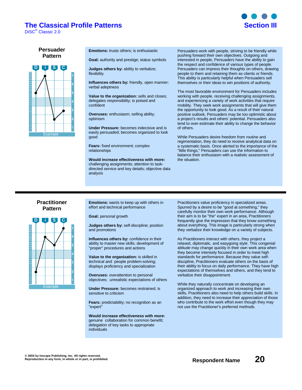### **The Classical Profile Patterns Section III**

DiSC® Classic 2.0



#### **Persuader Pattern**



**Emotions:** trusts others; is enthusiastic

**Goal:** authority and prestige; status symbols

**Judges others by:** ability to verbalize; flexibility

**Influences others by:** friendly, open manner; verbal adeptness

**Value to the organization:** sells and closes; delegates responsibility; is poised and confident

**Overuses:** enthusiasm; selling ability; optimism

**Under Pressure:** becomes indecisive and is easily persuaded; becomes organized to look good

**Fears:** fixed environment; complex relationships

**Would increase effectiveness with more:** challenging assignments; attention to taskdirected service and key details; objective data analysis

Persuaders work with people, striving to be friendly while pushing forward their own objectives. Outgoing and interested in people, Persuaders have the ability to gain the respect and confidence of various types of people. Persuaders can impress their thoughts on others, drawing people to them and retaining them as clients or friends. This ability is particularly helpful when Persuaders sell themselves or their ideas to win positions of authority.

The most favorable environment for Persuaders includes working with people, receiving challenging assignments, and experiencing a variety of work activities that require mobility. They seek work assignments that will give them the opportunity to look good. As a result of their natural positive outlook, Persuaders may be too optimistic about a project's results and others' potential. Persuaders also tend to over-estimate their ability to change the behavior of others.

While Persuaders desire freedom from routine and regimentation, they do need to receive analytical data on a systematic basis. Once alerted to the importance of the "little things," Persuaders can use the information to balance their enthusiasm with a realistic assessment of the situation.

#### **Practitioner Pattern**



**Emotions:** wants to keep up with others in effort and technical performance

**Goal:** personal growth

**Judges others by:** self-discipline; position and promotions

**Influences others by:** confidence in their ability to master new skills; development of "proper" procedures and actions

**Value to the organization:** is skilled in technical and people problem-solving; displays proficiency and specialization

**Overuses:** overattention to personal objectives; unrealistic expectations of others

**Under Pressure:** becomes restrained; is sensitive to criticism

**Fears:** predictability; no recognition as an "expert"

**Would increase effectiveness with more:** genuine collaboration for common benefit; delegation of key tasks to appropriate individuals

Practitioners value proficiency in specialized areas. Spurred by a desire to be "good at something," they carefully monitor their own work performance. Although their aim is to be "the" expert in an area, Practitioners frequently give the impression that they know something about everything. This image is particularly strong when they verbalize their knowledge on a variety of subjects.

As Practitioners interact with others, they project a relaxed, diplomatic, and easygoing style. This congenial attitude may change quickly in their own work area when they become intensely focused in order to meet high standards for performance. Because they value selfdiscipline, Practitioners evaluate others on the basis of their ability to focus on daily performance. They have high expectations of themselves and others, and they tend to verbalize their disappointment.

While they naturally concentrate on developing an organized approach to work and increasing their own skills, Practitioners also need to help others build skills. In addition, they need to increase their appreciation of those who contribute to the work effort even though they may not use the Practitioner's preferred methods.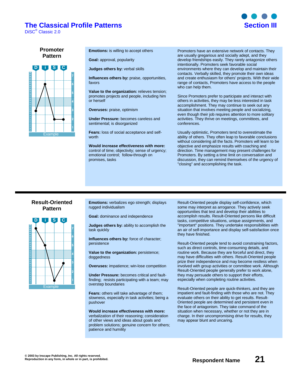### **The Classical Profile Patterns <b>Section III**

DiSC® Classic 2.0



**Promoter Pattern**



**Emotions:** is willing to accept others

**Goal:** approval, popularity

**Judges others by:** verbal skills

**Influences others by:** praise, opportunities, favors

**Value to the organization:** relieves tension; promotes projects and people, including him or herself

**Overuses:** praise, optimism

**Under Pressure:** becomes careless and sentimental; is disorganized

**Fears:** loss of social acceptance and selfworth

**Would increase effectiveness with more:** control of time; objectivity; sense of urgency; emotional control; follow-through on promises, tasks

Promoters have an extensive network of contacts. They are usually gregarious and socially adept, and they develop friendships easily. They rarely antagonize others intentionally. Promoters seek favorable social environments where they can develop and maintain their contacts. Verbally skilled, they promote their own ideas and create enthusiasm for others' projects. With their wide range of contacts, Promoters have access to the people who can help them.

Since Promoters prefer to participate and interact with others in activities, they may be less interested in task accomplishment. They may continue to seek out any situation that involves meeting people and socializing, even though their job requires attention to more solitary activities. They thrive on meetings, committees, and conferences.

Usually optimistic, Promoters tend to overestimate the ability of others. They often leap to favorable conclusions without considering all the facts. Promoters will learn to be objective and emphasize results with coaching and direction. Time management may present challenges for Promoters. By setting a time limit on conversation and discussion, they can remind themselves of the urgency of "closing" and accomplishing the task.

#### **Result-Oriented Pattern**



**Emotions:** verbalizes ego strength; displays rugged individualism

**Goal:** dominance and independence

**Judges others by:** ability to accomplish the task quickly

**Influences others by:** force of character; persistence

**Value to the organization:** persistence; doggedness

**Overuses:** impatience; win-lose competition

**Under Pressure:** becomes critical and faultfinding; resists participating with a team; may overstep boundaries

**Fears:** others will take advantage of them; slowness, especially in task activities; being a pushover

**Would increase effectiveness with more:** verbalization of their reasoning; consideration of other views and ideas about goals and problem solutions; genuine concern for others; patience and humility

Result-Oriented people display self-confidence, which some may interpret as arrogance. They actively seek opportunities that test and develop their abilities to accomplish results. Result-Oriented persons like difficult tasks, competitive situations, unique assignments, and "important" positions. They undertake responsibilities with an air of self-importance and display self-satisfaction once they have finished.

Result-Oriented people tend to avoid constraining factors, such as direct controls, time-consuming details, and routine work. Because they are forceful and direct, they may have difficulties with others. Result-Oriented people prize their independence and may become restless when involved with group activities or committee work. Although Result-Oriented people generally prefer to work alone, they may persuade others to support their efforts, especially when completing routine activities.

Result-Oriented people are quick-thinkers, and they are impatient and fault-finding with those who are not. They evaluate others on their ability to get results. Result-Oriented people are determined and persistent even in the face of antagonism. They take command of the situation when necessary, whether or not they are in charge. In their uncompromising drive for results, they may appear blunt and uncaring.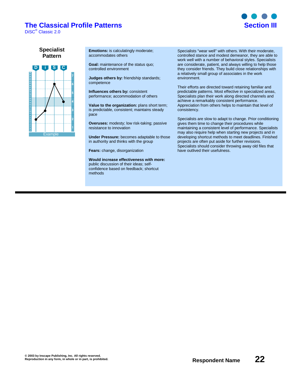### **The Classical Profile Patterns Section III**

DiSC® Classic 2.0



**Specialist Pattern**



**Emotions:** is calculatingly moderate; accommodates others

**Goal:** maintenance of the status quo; controlled environment

**Judges others by:** friendship standards; competence

**Influences others by:** consistent performance; accommodation of others

**Value to the organization:** plans short term; is predictable, consistent; maintains steady pace

**Overuses:** modesty; low risk-taking; passive resistance to innovation

**Under Pressure:** becomes adaptable to those in authority and thinks with the group

**Fears:** change, disorganization

**Would increase effectiveness with more:** public discussion of their ideas; selfconfidence based on feedback; shortcut methods

Specialists "wear well" with others. With their moderate, controlled stance and modest demeanor, they are able to work well with a number of behavioral styles. Specialists are considerate, patient, and always willing to help those they consider friends. They build close relationships with a relatively small group of associates in the work environment.

Their efforts are directed toward retaining familiar and predictable patterns. Most effective in specialized areas, Specialists plan their work along directed channels and achieve a remarkably consistent performance. Appreciation from others helps to maintain that level of consistency.

Specialists are slow to adapt to change. Prior conditioning gives them time to change their procedures while maintaining a consistent level of performance. Specialists may also require help when starting new projects and in developing shortcut methods to meet deadlines. Finished projects are often put aside for further revisions. Specialists should consider throwing away old files that have outlived their usefulness.